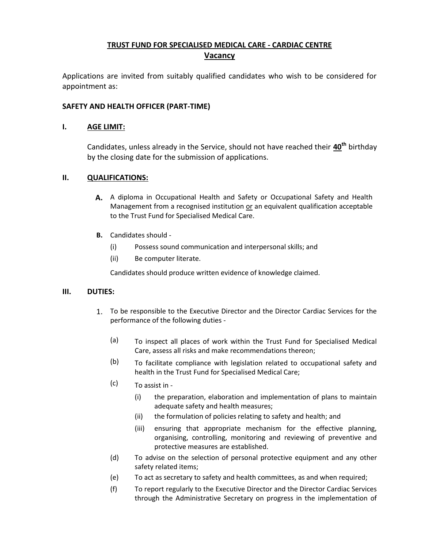# **TRUST FUND FOR SPECIALISED MEDICAL CARE - CARDIAC CENTRE Vacancy**

Applications are invited from suitably qualified candidates who wish to be considered for appointment as:

## **SAFETY AND HEALTH OFFICER (PART-TIME)**

#### **I. AGE LIMIT:**

Candidates, unless already in the Service, should not have reached their **40th** birthday by the closing date for the submission of applications.

## **II. QUALIFICATIONS:**

- **A.** A diploma in Occupational Health and Safety or Occupational Safety and Health Management from a recognised institution or an equivalent qualification acceptable to the Trust Fund for Specialised Medical Care.
- **B.** Candidates should
	- (i) Possess sound communication and interpersonal skills; and
	- (ii) Be computer literate.

Candidates should produce written evidence of knowledge claimed.

## **III. DUTIES:**

- 1. To be responsible to the Executive Director and the Director Cardiac Services for the performance of the following duties -
	- (a) To inspect all places of work within the Trust Fund for Specialised Medical Care, assess all risks and make recommendations thereon;
	- $(b)$  To facilitate compliance with legislation related to occupational safety and health in the Trust Fund for Specialised Medical Care;
	- $(c)$  To assist in -
		- (i) the preparation, elaboration and implementation of plans to maintain adequate safety and health measures;
		- (ii) the formulation of policies relating to safety and health; and
		- (iii) ensuring that appropriate mechanism for the effective planning, organising, controlling, monitoring and reviewing of preventive and protective measures are established.
	- (d) To advise on the selection of personal protective equipment and any other safety related items;
	- (e) To act as secretary to safety and health committees, as and when required;
	- (f) To report regularly to the Executive Director and the Director Cardiac Services through the Administrative Secretary on progress in the implementation of